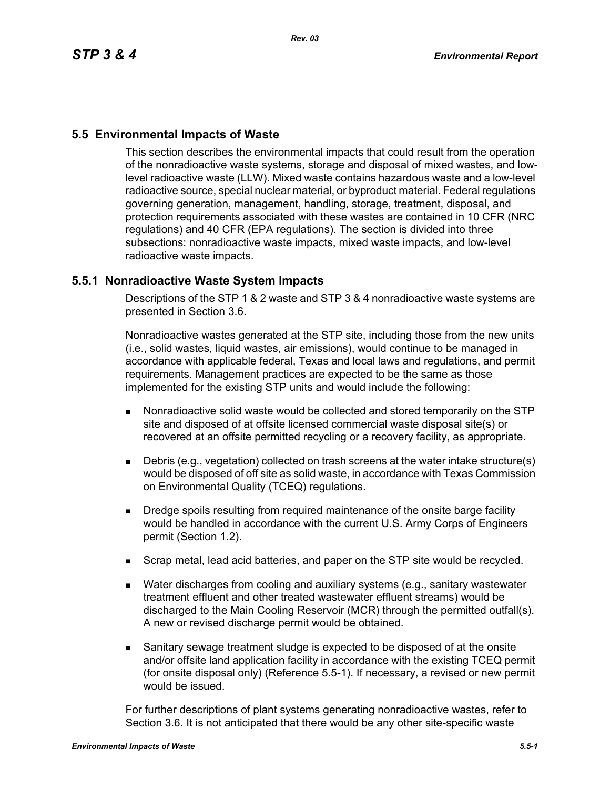# **5.5 Environmental Impacts of Waste**

This section describes the environmental impacts that could result from the operation of the nonradioactive waste systems, storage and disposal of mixed wastes, and lowlevel radioactive waste (LLW). Mixed waste contains hazardous waste and a low-level radioactive source, special nuclear material, or byproduct material. Federal regulations governing generation, management, handling, storage, treatment, disposal, and protection requirements associated with these wastes are contained in 10 CFR (NRC regulations) and 40 CFR (EPA regulations). The section is divided into three subsections: nonradioactive waste impacts, mixed waste impacts, and low-level radioactive waste impacts.

## **5.5.1 Nonradioactive Waste System Impacts**

Descriptions of the STP 1 & 2 waste and STP 3 & 4 nonradioactive waste systems are presented in Section 3.6.

Nonradioactive wastes generated at the STP site, including those from the new units (i.e., solid wastes, liquid wastes, air emissions), would continue to be managed in accordance with applicable federal, Texas and local laws and regulations, and permit requirements. Management practices are expected to be the same as those implemented for the existing STP units and would include the following:

- Nonradioactive solid waste would be collected and stored temporarily on the STP site and disposed of at offsite licensed commercial waste disposal site(s) or recovered at an offsite permitted recycling or a recovery facility, as appropriate.
- Debris (e.g., vegetation) collected on trash screens at the water intake structure(s) would be disposed of off site as solid waste, in accordance with Texas Commission on Environmental Quality (TCEQ) regulations.
- **Dredge spoils resulting from required maintenance of the onsite barge facility** would be handled in accordance with the current U.S. Army Corps of Engineers permit (Section 1.2).
- **Scrap metal, lead acid batteries, and paper on the STP site would be recycled.**
- Water discharges from cooling and auxiliary systems (e.g., sanitary wastewater treatment effluent and other treated wastewater effluent streams) would be discharged to the Main Cooling Reservoir (MCR) through the permitted outfall(s). A new or revised discharge permit would be obtained.
- Sanitary sewage treatment sludge is expected to be disposed of at the onsite and/or offsite land application facility in accordance with the existing TCEQ permit (for onsite disposal only) (Reference 5.5-1). If necessary, a revised or new permit would be issued.

For further descriptions of plant systems generating nonradioactive wastes, refer to Section 3.6. It is not anticipated that there would be any other site-specific waste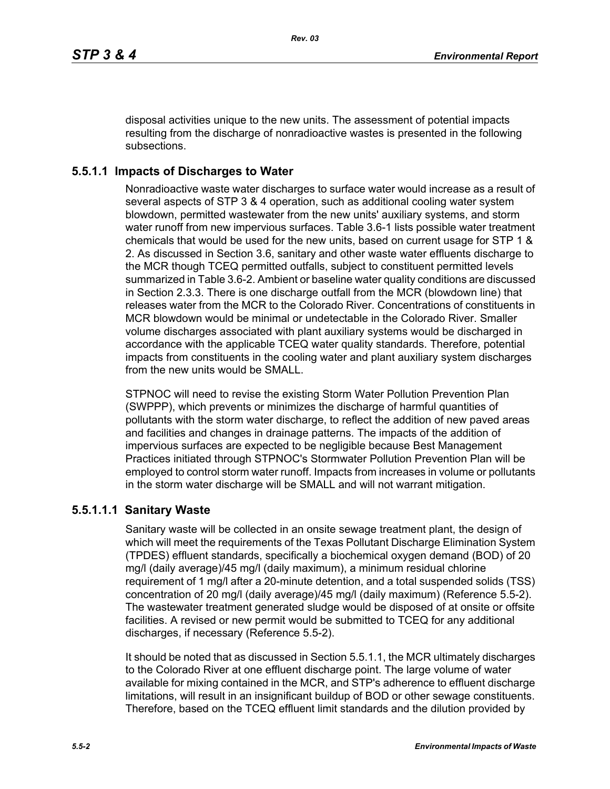disposal activities unique to the new units. The assessment of potential impacts resulting from the discharge of nonradioactive wastes is presented in the following subsections.

# **5.5.1.1 Impacts of Discharges to Water**

Nonradioactive waste water discharges to surface water would increase as a result of several aspects of STP 3 & 4 operation, such as additional cooling water system blowdown, permitted wastewater from the new units' auxiliary systems, and storm water runoff from new impervious surfaces. Table 3.6-1 lists possible water treatment chemicals that would be used for the new units, based on current usage for STP 1 & 2. As discussed in Section 3.6, sanitary and other waste water effluents discharge to the MCR though TCEQ permitted outfalls, subject to constituent permitted levels summarized in Table 3.6-2. Ambient or baseline water quality conditions are discussed in Section 2.3.3. There is one discharge outfall from the MCR (blowdown line) that releases water from the MCR to the Colorado River. Concentrations of constituents in MCR blowdown would be minimal or undetectable in the Colorado River. Smaller volume discharges associated with plant auxiliary systems would be discharged in accordance with the applicable TCEQ water quality standards. Therefore, potential impacts from constituents in the cooling water and plant auxiliary system discharges from the new units would be SMALL.

STPNOC will need to revise the existing Storm Water Pollution Prevention Plan (SWPPP), which prevents or minimizes the discharge of harmful quantities of pollutants with the storm water discharge, to reflect the addition of new paved areas and facilities and changes in drainage patterns. The impacts of the addition of impervious surfaces are expected to be negligible because Best Management Practices initiated through STPNOC's Stormwater Pollution Prevention Plan will be employed to control storm water runoff. Impacts from increases in volume or pollutants in the storm water discharge will be SMALL and will not warrant mitigation.

# **5.5.1.1.1 Sanitary Waste**

Sanitary waste will be collected in an onsite sewage treatment plant, the design of which will meet the requirements of the Texas Pollutant Discharge Elimination System (TPDES) effluent standards, specifically a biochemical oxygen demand (BOD) of 20 mg/l (daily average)/45 mg/l (daily maximum), a minimum residual chlorine requirement of 1 mg/l after a 20-minute detention, and a total suspended solids (TSS) concentration of 20 mg/l (daily average)/45 mg/l (daily maximum) (Reference 5.5-2). The wastewater treatment generated sludge would be disposed of at onsite or offsite facilities. A revised or new permit would be submitted to TCEQ for any additional discharges, if necessary (Reference 5.5-2).

It should be noted that as discussed in Section 5.5.1.1, the MCR ultimately discharges to the Colorado River at one effluent discharge point. The large volume of water available for mixing contained in the MCR, and STP's adherence to effluent discharge limitations, will result in an insignificant buildup of BOD or other sewage constituents. Therefore, based on the TCEQ effluent limit standards and the dilution provided by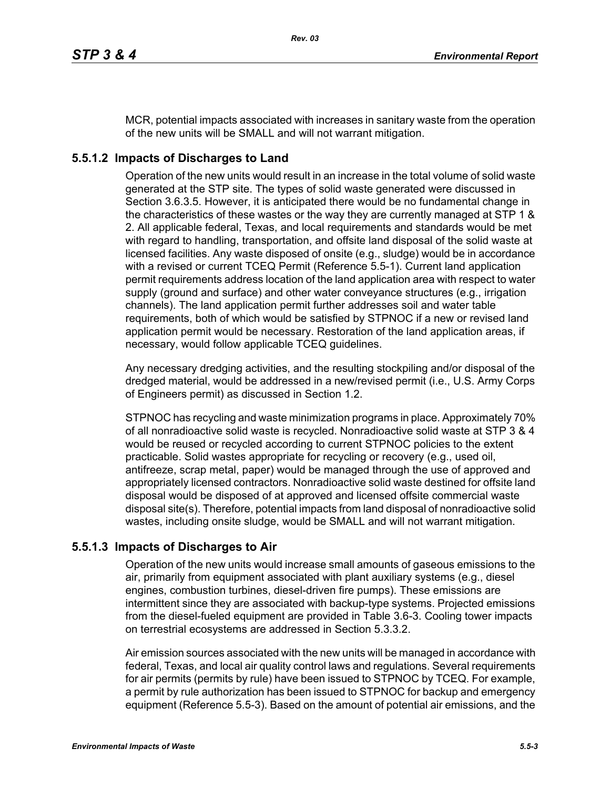MCR, potential impacts associated with increases in sanitary waste from the operation of the new units will be SMALL and will not warrant mitigation.

# **5.5.1.2 Impacts of Discharges to Land**

Operation of the new units would result in an increase in the total volume of solid waste generated at the STP site. The types of solid waste generated were discussed in Section 3.6.3.5. However, it is anticipated there would be no fundamental change in the characteristics of these wastes or the way they are currently managed at STP 1 & 2. All applicable federal, Texas, and local requirements and standards would be met with regard to handling, transportation, and offsite land disposal of the solid waste at licensed facilities. Any waste disposed of onsite (e.g., sludge) would be in accordance with a revised or current TCEQ Permit (Reference 5.5-1). Current land application permit requirements address location of the land application area with respect to water supply (ground and surface) and other water conveyance structures (e.g., irrigation channels). The land application permit further addresses soil and water table requirements, both of which would be satisfied by STPNOC if a new or revised land application permit would be necessary. Restoration of the land application areas, if necessary, would follow applicable TCEQ guidelines.

Any necessary dredging activities, and the resulting stockpiling and/or disposal of the dredged material, would be addressed in a new/revised permit (i.e., U.S. Army Corps of Engineers permit) as discussed in Section 1.2.

STPNOC has recycling and waste minimization programs in place. Approximately 70% of all nonradioactive solid waste is recycled. Nonradioactive solid waste at STP 3 & 4 would be reused or recycled according to current STPNOC policies to the extent practicable. Solid wastes appropriate for recycling or recovery (e.g., used oil, antifreeze, scrap metal, paper) would be managed through the use of approved and appropriately licensed contractors. Nonradioactive solid waste destined for offsite land disposal would be disposed of at approved and licensed offsite commercial waste disposal site(s). Therefore, potential impacts from land disposal of nonradioactive solid wastes, including onsite sludge, would be SMALL and will not warrant mitigation.

## **5.5.1.3 Impacts of Discharges to Air**

Operation of the new units would increase small amounts of gaseous emissions to the air, primarily from equipment associated with plant auxiliary systems (e.g., diesel engines, combustion turbines, diesel-driven fire pumps). These emissions are intermittent since they are associated with backup-type systems. Projected emissions from the diesel-fueled equipment are provided in Table 3.6-3. Cooling tower impacts on terrestrial ecosystems are addressed in Section 5.3.3.2.

Air emission sources associated with the new units will be managed in accordance with federal, Texas, and local air quality control laws and regulations. Several requirements for air permits (permits by rule) have been issued to STPNOC by TCEQ. For example, a permit by rule authorization has been issued to STPNOC for backup and emergency equipment (Reference 5.5-3). Based on the amount of potential air emissions, and the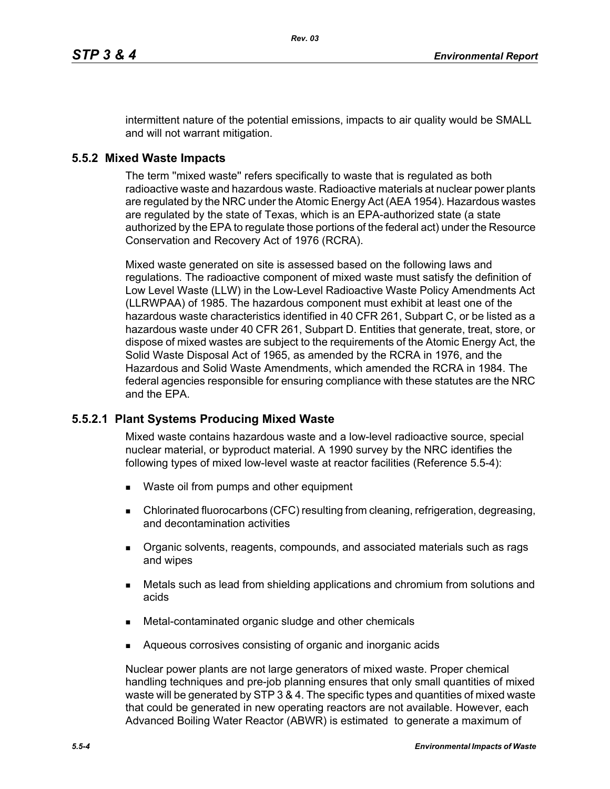intermittent nature of the potential emissions, impacts to air quality would be SMALL and will not warrant mitigation.

### **5.5.2 Mixed Waste Impacts**

The term ''mixed waste'' refers specifically to waste that is regulated as both radioactive waste and hazardous waste. Radioactive materials at nuclear power plants are regulated by the NRC under the Atomic Energy Act (AEA 1954). Hazardous wastes are regulated by the state of Texas, which is an EPA-authorized state (a state authorized by the EPA to regulate those portions of the federal act) under the Resource Conservation and Recovery Act of 1976 (RCRA).

Mixed waste generated on site is assessed based on the following laws and regulations. The radioactive component of mixed waste must satisfy the definition of Low Level Waste (LLW) in the Low-Level Radioactive Waste Policy Amendments Act (LLRWPAA) of 1985. The hazardous component must exhibit at least one of the hazardous waste characteristics identified in 40 CFR 261, Subpart C, or be listed as a hazardous waste under 40 CFR 261, Subpart D. Entities that generate, treat, store, or dispose of mixed wastes are subject to the requirements of the Atomic Energy Act, the Solid Waste Disposal Act of 1965, as amended by the RCRA in 1976, and the Hazardous and Solid Waste Amendments, which amended the RCRA in 1984. The federal agencies responsible for ensuring compliance with these statutes are the NRC and the EPA.

#### **5.5.2.1 Plant Systems Producing Mixed Waste**

Mixed waste contains hazardous waste and a low-level radioactive source, special nuclear material, or byproduct material. A 1990 survey by the NRC identifies the following types of mixed low-level waste at reactor facilities (Reference 5.5-4):

- **Naste oil from pumps and other equipment**
- Chlorinated fluorocarbons (CFC) resulting from cleaning, refrigeration, degreasing, and decontamination activities
- **Organic solvents, reagents, compounds, and associated materials such as rags** and wipes
- Metals such as lead from shielding applications and chromium from solutions and acids
- Metal-contaminated organic sludge and other chemicals
- **Aqueous corrosives consisting of organic and inorganic acids**

Nuclear power plants are not large generators of mixed waste. Proper chemical handling techniques and pre-job planning ensures that only small quantities of mixed waste will be generated by STP 3 & 4. The specific types and quantities of mixed waste that could be generated in new operating reactors are not available. However, each Advanced Boiling Water Reactor (ABWR) is estimated to generate a maximum of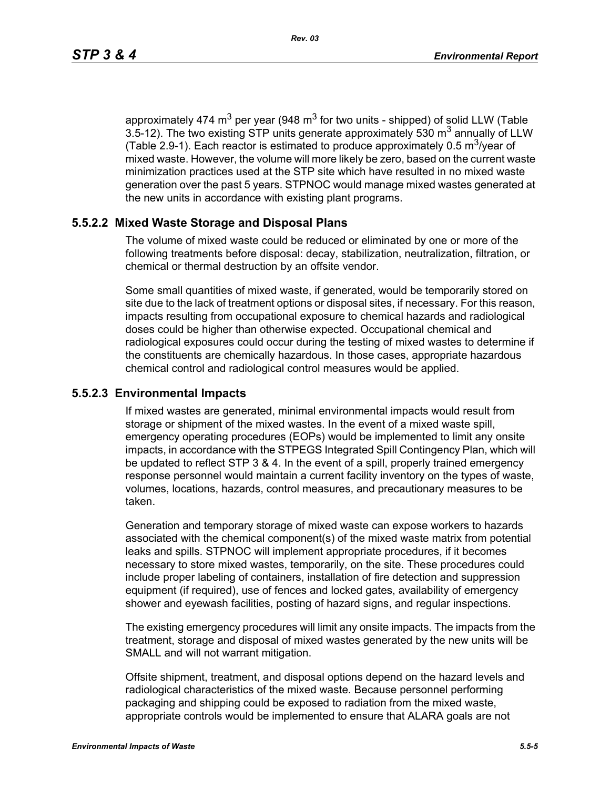approximately 474  $\text{m}^3$  per year (948  $\text{m}^3$  for two units - shipped) of solid LLW (Table 3.5-12). The two existing STP units generate approximately 530  $m<sup>3</sup>$  annually of LLW (Table 2.9-1). Each reactor is estimated to produce approximately 0.5  $\text{m}^3$ /year of mixed waste. However, the volume will more likely be zero, based on the current waste minimization practices used at the STP site which have resulted in no mixed waste generation over the past 5 years. STPNOC would manage mixed wastes generated at the new units in accordance with existing plant programs.

### **5.5.2.2 Mixed Waste Storage and Disposal Plans**

The volume of mixed waste could be reduced or eliminated by one or more of the following treatments before disposal: decay, stabilization, neutralization, filtration, or chemical or thermal destruction by an offsite vendor.

Some small quantities of mixed waste, if generated, would be temporarily stored on site due to the lack of treatment options or disposal sites, if necessary. For this reason, impacts resulting from occupational exposure to chemical hazards and radiological doses could be higher than otherwise expected. Occupational chemical and radiological exposures could occur during the testing of mixed wastes to determine if the constituents are chemically hazardous. In those cases, appropriate hazardous chemical control and radiological control measures would be applied.

#### **5.5.2.3 Environmental Impacts**

If mixed wastes are generated, minimal environmental impacts would result from storage or shipment of the mixed wastes. In the event of a mixed waste spill, emergency operating procedures (EOPs) would be implemented to limit any onsite impacts, in accordance with the STPEGS Integrated Spill Contingency Plan, which will be updated to reflect STP 3 & 4. In the event of a spill, properly trained emergency response personnel would maintain a current facility inventory on the types of waste, volumes, locations, hazards, control measures, and precautionary measures to be taken.

Generation and temporary storage of mixed waste can expose workers to hazards associated with the chemical component(s) of the mixed waste matrix from potential leaks and spills. STPNOC will implement appropriate procedures, if it becomes necessary to store mixed wastes, temporarily, on the site. These procedures could include proper labeling of containers, installation of fire detection and suppression equipment (if required), use of fences and locked gates, availability of emergency shower and eyewash facilities, posting of hazard signs, and regular inspections.

The existing emergency procedures will limit any onsite impacts. The impacts from the treatment, storage and disposal of mixed wastes generated by the new units will be SMALL and will not warrant mitigation.

Offsite shipment, treatment, and disposal options depend on the hazard levels and radiological characteristics of the mixed waste. Because personnel performing packaging and shipping could be exposed to radiation from the mixed waste, appropriate controls would be implemented to ensure that ALARA goals are not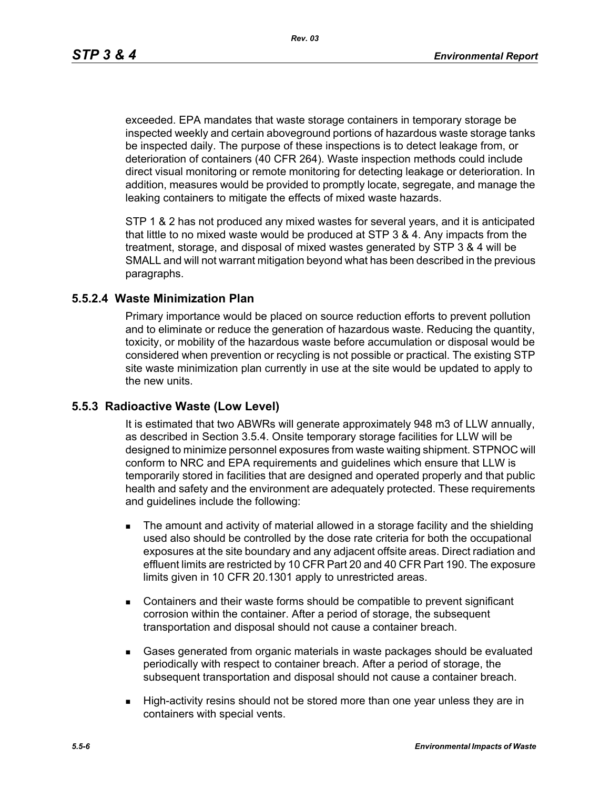*Rev. 03*

exceeded. EPA mandates that waste storage containers in temporary storage be inspected weekly and certain aboveground portions of hazardous waste storage tanks be inspected daily. The purpose of these inspections is to detect leakage from, or deterioration of containers (40 CFR 264). Waste inspection methods could include direct visual monitoring or remote monitoring for detecting leakage or deterioration. In addition, measures would be provided to promptly locate, segregate, and manage the leaking containers to mitigate the effects of mixed waste hazards.

STP 1 & 2 has not produced any mixed wastes for several years, and it is anticipated that little to no mixed waste would be produced at STP 3 & 4. Any impacts from the treatment, storage, and disposal of mixed wastes generated by STP 3 & 4 will be SMALL and will not warrant mitigation beyond what has been described in the previous paragraphs.

### **5.5.2.4 Waste Minimization Plan**

Primary importance would be placed on source reduction efforts to prevent pollution and to eliminate or reduce the generation of hazardous waste. Reducing the quantity, toxicity, or mobility of the hazardous waste before accumulation or disposal would be considered when prevention or recycling is not possible or practical. The existing STP site waste minimization plan currently in use at the site would be updated to apply to the new units.

## **5.5.3 Radioactive Waste (Low Level)**

It is estimated that two ABWRs will generate approximately 948 m3 of LLW annually, as described in Section 3.5.4. Onsite temporary storage facilities for LLW will be designed to minimize personnel exposures from waste waiting shipment. STPNOC will conform to NRC and EPA requirements and guidelines which ensure that LLW is temporarily stored in facilities that are designed and operated properly and that public health and safety and the environment are adequately protected. These requirements and guidelines include the following:

- The amount and activity of material allowed in a storage facility and the shielding used also should be controlled by the dose rate criteria for both the occupational exposures at the site boundary and any adjacent offsite areas. Direct radiation and effluent limits are restricted by 10 CFR Part 20 and 40 CFR Part 190. The exposure limits given in 10 CFR 20.1301 apply to unrestricted areas.
- **EXECONTER CONTER CONTER 15 IN A STARK IS CONTER** CONTERNATION **CONTERNATION** CONTERNATION CONTERNATION **CONTERNATION** corrosion within the container. After a period of storage, the subsequent transportation and disposal should not cause a container breach.
- Gases generated from organic materials in waste packages should be evaluated periodically with respect to container breach. After a period of storage, the subsequent transportation and disposal should not cause a container breach.
- High-activity resins should not be stored more than one year unless they are in containers with special vents.